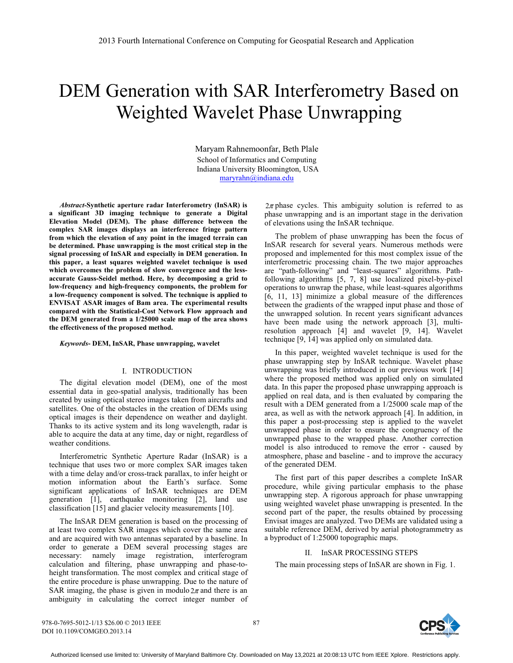# DEM Generation with SAR Interferometry Based on Weighted Wavelet Phase Unwrapping

Maryam Rahnemoonfar, Beth Plale School of Informatics and Computing Indiana University Bloomington, USA maryrahn@indiana.edu

*Abstract-***Synthetic aperture radar Interferometry (InSAR) is a significant 3D imaging technique to generate a Digital Elevation Model (DEM). The phase difference between the complex SAR images displays an interference fringe pattern from which the elevation of any point in the imaged terrain can be determined. Phase unwrapping is the most critical step in the signal processing of InSAR and especially in DEM generation. In this paper, a least squares weighted wavelet technique is used which overcomes the problem of slow convergence and the lessaccurate Gauss-Seidel method. Here, by decomposing a grid to low-frequency and high-frequency components, the problem for a low-frequency component is solved. The technique is applied to ENVISAT ASAR images of Bam area. The experimental results compared with the Statistical-Cost Network Flow approach and the DEM generated from a 1/25000 scale map of the area shows the effectiveness of the proposed method.** 

#### *Keywords***- DEM, InSAR, Phase unwrapping, wavelet**

# I. INTRODUCTION

The digital elevation model (DEM), one of the most essential data in geo-spatial analysis, traditionally has been created by using optical stereo images taken from aircrafts and satellites. One of the obstacles in the creation of DEMs using optical images is their dependence on weather and daylight. Thanks to its active system and its long wavelength, radar is able to acquire the data at any time, day or night, regardless of weather conditions.

Interferometric Synthetic Aperture Radar (InSAR) is a technique that uses two or more complex SAR images taken with a time delay and/or cross-track parallax, to infer height or motion information about the Earth's surface. Some significant applications of InSAR techniques are DEM generation [1], earthquake monitoring [2], land use classification [15] and glacier velocity measurements [10].

The InSAR DEM generation is based on the processing of at least two complex SAR images which cover the same area and are acquired with two antennas separated by a baseline. In order to generate a DEM several processing stages are necessary: namely image registration, interferogram calculation and filtering, phase unwrapping and phase-toheight transformation. The most complex and critical stage of the entire procedure is phase unwrapping. Due to the nature of SAR imaging, the phase is given in modulo  $2\pi$  and there is an ambiguity in calculating the correct integer number of  $2\pi$  phase cycles. This ambiguity solution is referred to as phase unwrapping and is an important stage in the derivation of elevations using the InSAR technique.

The problem of phase unwrapping has been the focus of InSAR research for several years. Numerous methods were proposed and implemented for this most complex issue of the interferometric processing chain. The two major approaches are "path-following" and "least-squares" algorithms. Pathfollowing algorithms [5, 7, 8] use localized pixel-by-pixel operations to unwrap the phase, while least-squares algorithms [6, 11, 13] minimize a global measure of the differences between the gradients of the wrapped input phase and those of the unwrapped solution. In recent years significant advances have been made using the network approach [3], multiresolution approach [4] and wavelet [9, 14]. Wavelet technique [9, 14] was applied only on simulated data.

In this paper, weighted wavelet technique is used for the phase unwrapping step by InSAR technique. Wavelet phase unwrapping was briefly introduced in our previous work [14] where the proposed method was applied only on simulated data. In this paper the proposed phase unwrapping approach is applied on real data, and is then evaluated by comparing the result with a DEM generated from a 1/25000 scale map of the area, as well as with the network approach [4]. In addition, in this paper a post-processing step is applied to the wavelet unwrapped phase in order to ensure the congruency of the unwrapped phase to the wrapped phase. Another correction model is also introduced to remove the error - caused by atmosphere, phase and baseline - and to improve the accuracy of the generated DEM.

The first part of this paper describes a complete InSAR procedure, while giving particular emphasis to the phase unwrapping step. A rigorous approach for phase unwrapping using weighted wavelet phase unwrapping is presented. In the second part of the paper, the results obtained by processing Envisat images are analyzed. Two DEMs are validated using a suitable reference DEM, derived by aerial photogrammetry as a byproduct of 1:25000 topographic maps.

# II. InSAR PROCESSING STEPS

The main processing steps of InSAR are shown in Fig. 1.



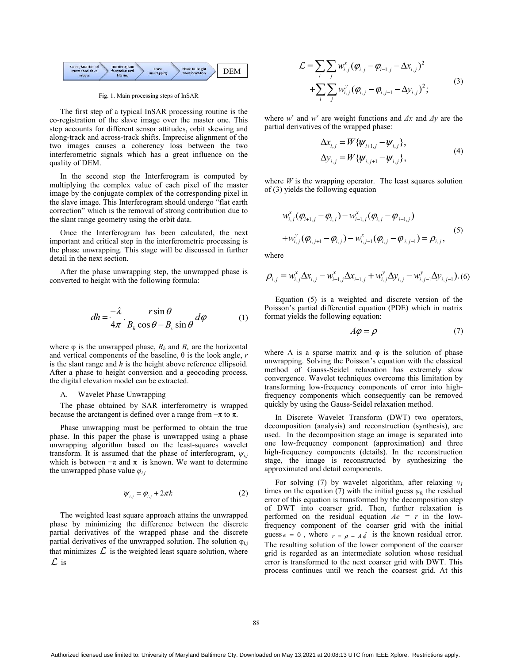

Fig. 1. Main processing steps of InSAR

The first step of a typical InSAR processing routine is the co-registration of the slave image over the master one. This step accounts for different sensor attitudes, orbit skewing and along-track and across-track shifts. Imprecise alignment of the two images causes a coherency loss between the two interferometric signals which has a great influence on the quality of DEM.

In the second step the Interferogram is computed by multiplying the complex value of each pixel of the master image by the conjugate complex of the corresponding pixel in the slave image. This Interferogram should undergo "flat earth correction" which is the removal of strong contribution due to the slant range geometry using the orbit data.

Once the Interferogram has been calculated, the next important and critical step in the interferometric processing is the phase unwrapping. This stage will be discussed in further detail in the next section.

After the phase unwrapping step, the unwrapped phase is converted to height with the following formula:

$$
dh = \frac{-\lambda}{4\pi} \cdot \frac{r \sin \theta}{B_h \cos \theta - B_v \sin \theta} d\varphi
$$
 (1)

where  $\varphi$  is the unwrapped phase,  $B_h$  and  $B_v$  are the horizontal and vertical components of the baseline,  $\theta$  is the look angle, *r* is the slant range and *h* is the height above reference ellipsoid. After a phase to height conversion and a geocoding process, the digital elevation model can be extracted.

#### A. Wavelet Phase Unwrapping

The phase obtained by SAR interferometry is wrapped because the arctangent is defined over a range from  $-\pi$  to  $\pi$ .

Phase unwrapping must be performed to obtain the true phase. In this paper the phase is unwrapped using a phase unwrapping algorithm based on the least-squares wavelet transform. It is assumed that the phase of interferogram,  $\psi_{i,j}$ which is between  $-\pi$  and  $\pi$  is known. We want to determine the unwrapped phase value  $\varphi_{ij}$ 

$$
\psi_{i,j} = \varphi_{i,j} + 2\pi k \tag{2}
$$

The weighted least square approach attains the unwrapped phase by minimizing the difference between the discrete partial derivatives of the wrapped phase and the discrete partial derivatives of the unwrapped solution. The solution  $\varphi_{i,j}$ that minimizes  $\mathcal L$  is the weighted least square solution, where  $\mathcal L$  is

$$
\mathcal{L} = \sum_{i} \sum_{j} w_{i,j}^{x} (\varphi_{i,j} - \varphi_{i-1,j} - \Delta x_{i,j})^{2} + \sum_{i} \sum_{j} w_{i,j}^{y} (\varphi_{i,j} - \varphi_{i,j-1} - \Delta y_{i,j})^{2};
$$
\n(3)

where  $w^x$  and  $w^y$  are weight functions and  $\Delta x$  and  $\Delta y$  are the partial derivatives of the wrapped phase:

$$
\Delta x_{i,j} = W \{ \psi_{i+1,j} - \psi_{i,j} \},
$$
  
\n
$$
\Delta y_{i,j} = W \{ \psi_{i,j+1} - \psi_{i,j} \},
$$
\n(4)

where  $W$  is the wrapping operator. The least squares solution of (3) yields the following equation

$$
w_{i,j}^{x}(\varphi_{i+1,j} - \varphi_{i,j}) - w_{i-1,j}^{x}(\varphi_{i,j} - \varphi_{i-1,j})
$$
  
+
$$
w_{i,j}^{y}(\varphi_{i,j+1} - \varphi_{i,j}) - w_{i,j-1}^{x}(\varphi_{i,j} - \varphi_{i,j-1}) = \rho_{i,j},
$$
 (5)

where

$$
\rho_{i,j} = w_{i,j}^x \Delta x_{i,j} - w_{i-1,j}^x \Delta x_{i-1,j} + w_{i,j}^y \Delta y_{i,j} - w_{i,j-1}^y \Delta y_{i,j-1}).
$$
 (6)

Equation (5) is a weighted and discrete version of the Poisson's partial differential equation (PDE) which in matrix format yields the following equation:

$$
A\varphi = \rho \tag{7}
$$

where A is a sparse matrix and  $\varphi$  is the solution of phase unwrapping. Solving the Poisson's equation with the classical method of Gauss-Seidel relaxation has extremely slow convergence. Wavelet techniques overcome this limitation by transforming low-frequency components of error into highfrequency components which consequently can be removed quickly by using the Gauss-Seidel relaxation method.

In Discrete Wavelet Transform (DWT) two operators, decomposition (analysis) and reconstruction (synthesis), are used. In the decomposition stage an image is separated into one low-frequency component (approximation) and three high-frequency components (details). In the reconstruction stage, the image is reconstructed by synthesizing the approximated and detail components.

For solving (7) by wavelet algorithm, after relaxing  $v_1$ times on the equation (7) with the initial guess  $\varphi_0$  the residual error of this equation is transformed by the decomposition step of DWT into coarser grid. Then, further relaxation is performed on the residual equation  $Ae = r$  in the lowfrequency component of the coarser grid with the initial guess  $e = 0$ , where  $r = \rho - A \hat{\phi}$  is the known residual error. The resulting solution of the lower component of the coarser grid is regarded as an intermediate solution whose residual error is transformed to the next coarser grid with DWT. This process continues until we reach the coarsest grid. At this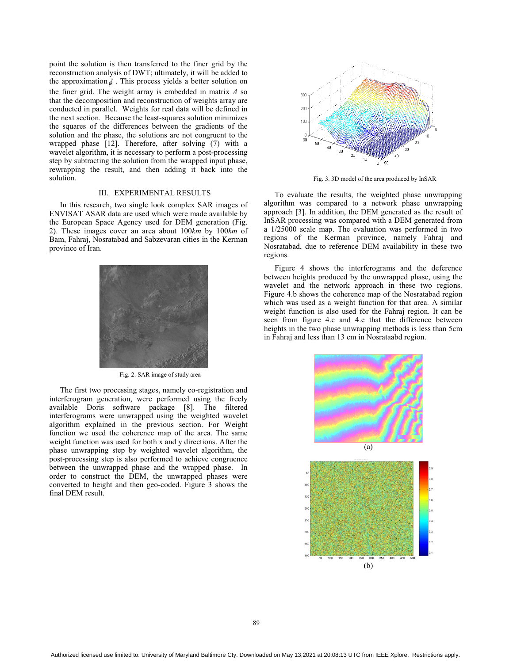point the solution is then transferred to the finer grid by the reconstruction analysis of DWT; ultimately, it will be added to the approximation  $\hat{\phi}$ . This process yields a better solution on the finer grid. The weight array is embedded in matrix *A* so that the decomposition and reconstruction of weights array are conducted in parallel. Weights for real data will be defined in the next section. Because the least-squares solution minimizes the squares of the differences between the gradients of the solution and the phase, the solutions are not congruent to the wrapped phase [12]. Therefore, after solving (7) with a wavelet algorithm, it is necessary to perform a post-processing step by subtracting the solution from the wrapped input phase, rewrapping the result, and then adding it back into the solution.

# III. EXPERIMENTAL RESULTS

In this research, two single look complex SAR images of ENVISAT ASAR data are used which were made available by the European Space Agency used for DEM generation (Fig. 2). These images cover an area about 100*km* by 100*km* of Bam, Fahraj, Nosratabad and Sabzevaran cities in the Kerman province of Iran.



Fig. 2. SAR image of study area

The first two processing stages, namely co-registration and interferogram generation, were performed using the freely available Doris software package [8]. The filtered interferograms were unwrapped using the weighted wavelet algorithm explained in the previous section. For Weight function we used the coherence map of the area. The same weight function was used for both x and y directions. After the phase unwrapping step by weighted wavelet algorithm, the post-processing step is also performed to achieve congruence between the unwrapped phase and the wrapped phase. In order to construct the DEM, the unwrapped phases were converted to height and then geo-coded. Figure 3 shows the final DEM result.



Fig. 3. 3D model of the area produced by InSAR

To evaluate the results, the weighted phase unwrapping algorithm was compared to a network phase unwrapping approach [3]. In addition, the DEM generated as the result of InSAR processing was compared with a DEM generated from a 1/25000 scale map. The evaluation was performed in two regions of the Kerman province, namely Fahraj and Nosratabad, due to reference DEM availability in these two regions.

Figure 4 shows the interferograms and the deference between heights produced by the unwrapped phase, using the wavelet and the network approach in these two regions. Figure 4.b shows the coherence map of the Nosratabad region which was used as a weight function for that area. A similar weight function is also used for the Fahraj region. It can be seen from figure 4.c and 4.e that the difference between heights in the two phase unwrapping methods is less than 5cm in Fahraj and less than 13 cm in Nosrataabd region.

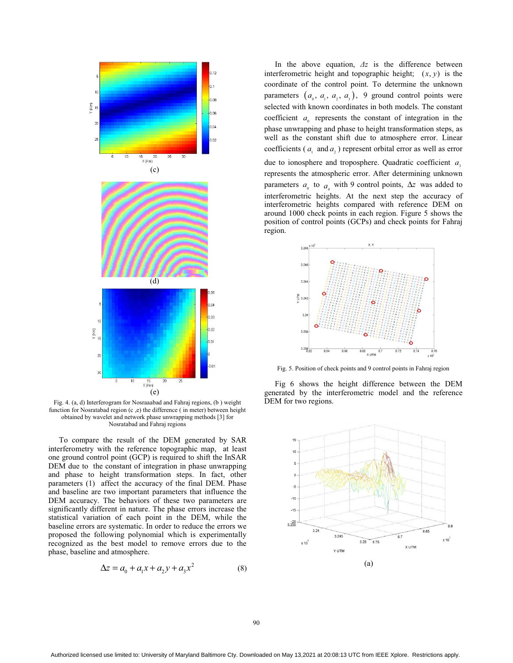

Fig. 4. (a, d) Interferogram for Nosraaabad and Fahraj regions, (b ) weight function for Nosratabad region (c ,e) the difference ( in meter) between height obtained by wavelet and network phase unwrapping methods [3] for Nosratabad and Fahraj regions

To compare the result of the DEM generated by SAR interferometry with the reference topographic map, at least one ground control point (GCP) is required to shift the InSAR DEM due to the constant of integration in phase unwrapping and phase to height transformation steps. In fact, other parameters (1) affect the accuracy of the final DEM. Phase and baseline are two important parameters that influence the DEM accuracy. The behaviors of these two parameters are significantly different in nature. The phase errors increase the statistical variation of each point in the DEM, while the baseline errors are systematic. In order to reduce the errors we proposed the following polynomial which is experimentally recognized as the best model to remove errors due to the phase, baseline and atmosphere.

$$
\Delta z = a_0 + a_1 x + a_2 y + a_3 x^2 \tag{8}
$$

In the above equation,  $\Delta z$  is the difference between interferometric height and topographic height;  $(x, y)$  is the coordinate of the control point. To determine the unknown parameters  $(a_0, a_1, a_2, a_3)$ , 9 ground control points were selected with known coordinates in both models. The constant coefficient  $a_{\alpha}$  represents the constant of integration in the phase unwrapping and phase to height transformation steps, as well as the constant shift due to atmosphere error. Linear coefficients ( $a_i$  and  $a_j$ ) represent orbital error as well as error due to ionosphere and troposphere. Quadratic coefficient  $a<sub>s</sub>$ represents the atmospheric error. After determining unknown parameters  $a_0$  to  $a_1$  with 9 control points,  $\Delta z$  was added to interferometric heights. At the next step the accuracy of interferometric heights compared with reference DEM on around 1000 check points in each region. Figure 5 shows the position of control points (GCPs) and check points for Fahraj region.



Fig. 5. Position of check points and 9 control points in Fahraj region

Fig 6 shows the height difference between the DEM generated by the interferometric model and the reference DEM for two regions.